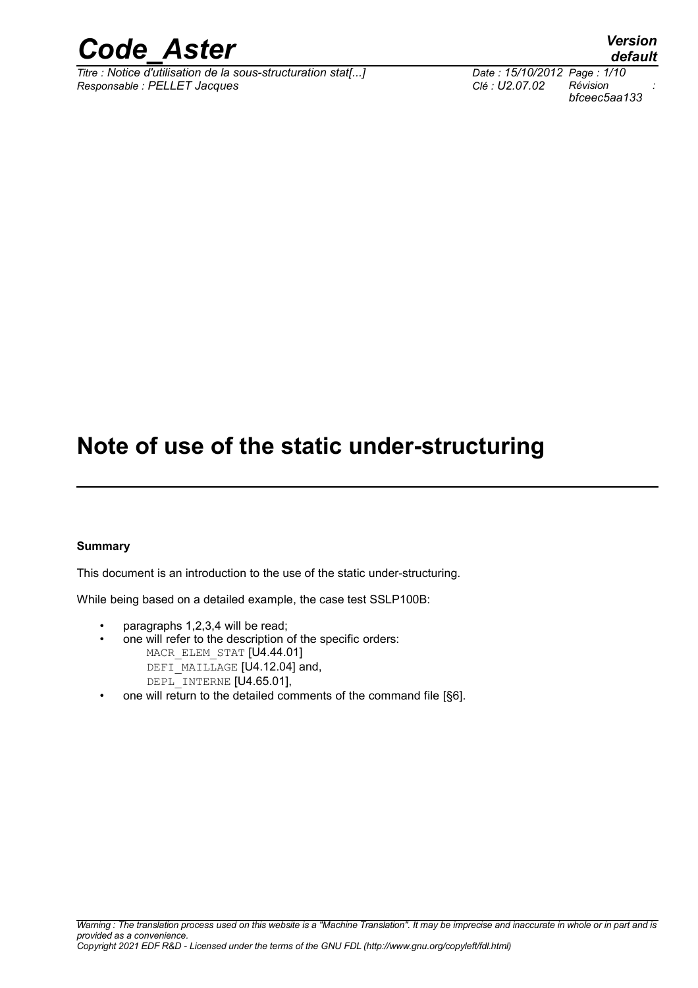

*Titre : Notice d'utilisation de la sous-structuration stat[...] Date : 15/10/2012 Page : 1/10 Responsable : PELLET Jacques Clé : U2.07.02 Révision :*

*default bfceec5aa133*

# **Note of use of the static under-structuring**

#### **Summary**

This document is an introduction to the use of the static under-structuring.

While being based on a detailed example, the case test SSLP100B:

- paragraphs 1,2,3,4 will be read;
- one will refer to the description of the specific orders: MACR ELEM STAT [U4.44.01] DEFI\_MAILLAGE [U4.12.04] and, DEPL INTERNE [U4.65.01],
- one will return to the detailed comments of the command file [§6].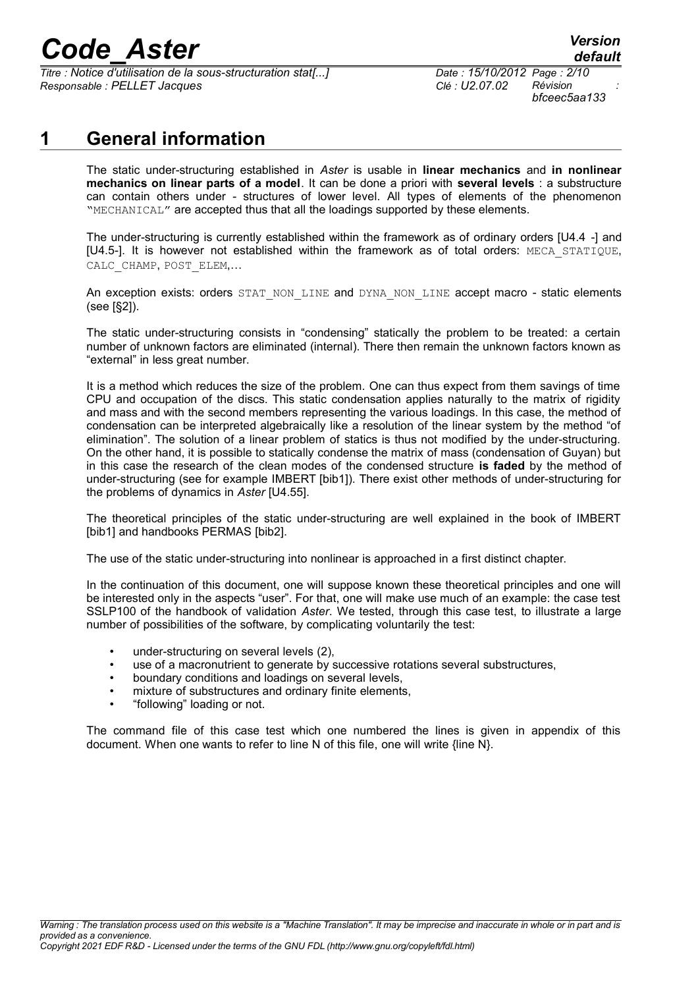# *Code\_Aster Version*

*Titre : Notice d'utilisation de la sous-structuration stat[...] Date : 15/10/2012 Page : 2/10 Responsable : PELLET Jacques Clé : U2.07.02 Révision :*

*bfceec5aa133*

## **1 General information**

The static under-structuring established in *Aster* is usable in **linear mechanics** and **in nonlinear mechanics on linear parts of a model**. It can be done a priori with **several levels** : a substructure can contain others under - structures of lower level. All types of elements of the phenomenon "MECHANICAL" are accepted thus that all the loadings supported by these elements.

The under-structuring is currently established within the framework as of ordinary orders [U4.4 -] and [U4.5-]. It is however not established within the framework as of total orders: MECA\_STATIQUE, CALC\_CHAMP, POST\_ELEM,...

An exception exists: orders STAT\_NON\_LINE and DYNA\_NON\_LINE accept macro - static elements (see [§2]).

The static under-structuring consists in "condensing" statically the problem to be treated: a certain number of unknown factors are eliminated (internal). There then remain the unknown factors known as "external" in less great number.

It is a method which reduces the size of the problem. One can thus expect from them savings of time CPU and occupation of the discs. This static condensation applies naturally to the matrix of rigidity and mass and with the second members representing the various loadings. In this case, the method of condensation can be interpreted algebraically like a resolution of the linear system by the method "of elimination". The solution of a linear problem of statics is thus not modified by the under-structuring. On the other hand, it is possible to statically condense the matrix of mass (condensation of Guyan) but in this case the research of the clean modes of the condensed structure **is faded** by the method of under-structuring (see for example IMBERT [bib1]). There exist other methods of under-structuring for the problems of dynamics in *Aster* [U4.55].

The theoretical principles of the static under-structuring are well explained in the book of IMBERT [bib1] and handbooks PERMAS [bib2].

The use of the static under-structuring into nonlinear is approached in a first distinct chapter.

In the continuation of this document, one will suppose known these theoretical principles and one will be interested only in the aspects "user". For that, one will make use much of an example: the case test SSLP100 of the handbook of validation *Aster*. We tested, through this case test, to illustrate a large number of possibilities of the software, by complicating voluntarily the test:

- under-structuring on several levels (2),
- use of a macronutrient to generate by successive rotations several substructures,
- boundary conditions and loadings on several levels,
- mixture of substructures and ordinary finite elements,
- "following" loading or not.

The command file of this case test which one numbered the lines is given in appendix of this document. When one wants to refer to line N of this file, one will write {line N}.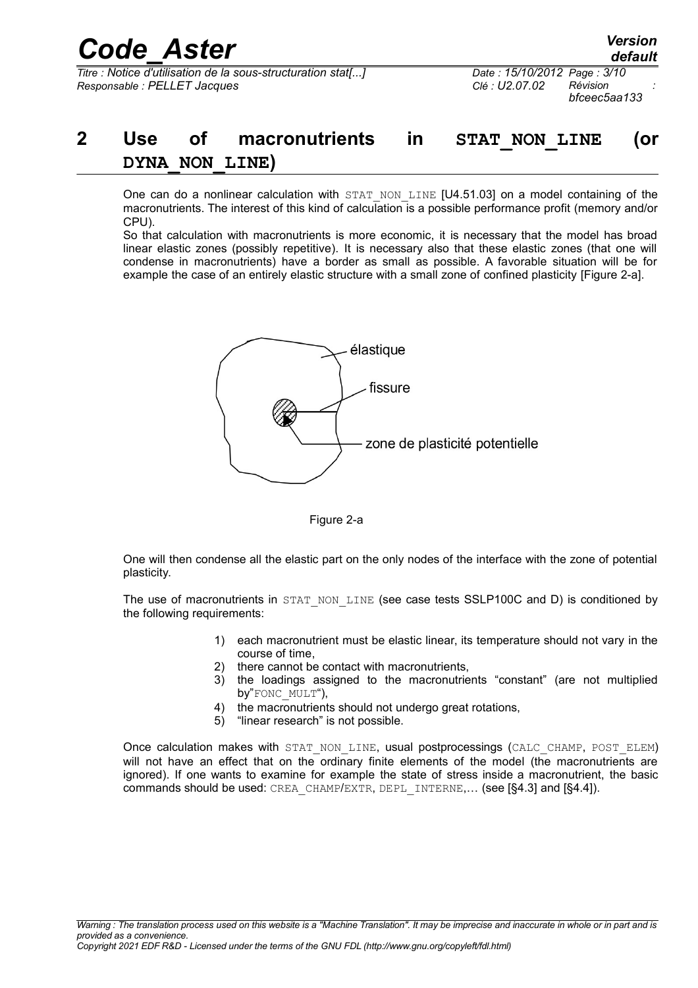*bfceec5aa133*

# **2 Use of macronutrients in STAT\_NON\_LINE (or DYNA\_NON\_LINE)**

One can do a nonlinear calculation with  $STAT$  NON LINE  $[U4.51.03]$  on a model containing of the macronutrients. The interest of this kind of calculation is a possible performance profit (memory and/or CPU).

So that calculation with macronutrients is more economic, it is necessary that the model has broad linear elastic zones (possibly repetitive). It is necessary also that these elastic zones (that one will condense in macronutrients) have a border as small as possible. A favorable situation will be for example the case of an entirely elastic structure with a small zone of confined plasticity [Figure 2-a].



Figure 2-a

One will then condense all the elastic part on the only nodes of the interface with the zone of potential plasticity.

The use of macronutrients in STAT\_NON\_LINE (see case tests SSLP100C and D) is conditioned by the following requirements:

- 1) each macronutrient must be elastic linear, its temperature should not vary in the course of time,
- 2) there cannot be contact with macronutrients,
- 3) the loadings assigned to the macronutrients "constant" (are not multiplied by"FONC\_MULT"),
- 4) the macronutrients should not undergo great rotations,
- 5) "linear research" is not possible.

Once calculation makes with STAT\_NON\_LINE, usual postprocessings (CALC\_CHAMP, POST\_ELEM) will not have an effect that on the ordinary finite elements of the model (the macronutrients are ignored). If one wants to examine for example the state of stress inside a macronutrient, the basic commands should be used: CREA\_CHAMP/EXTR, DEPL\_INTERNE,… (see [§4.3] and [§4.4]).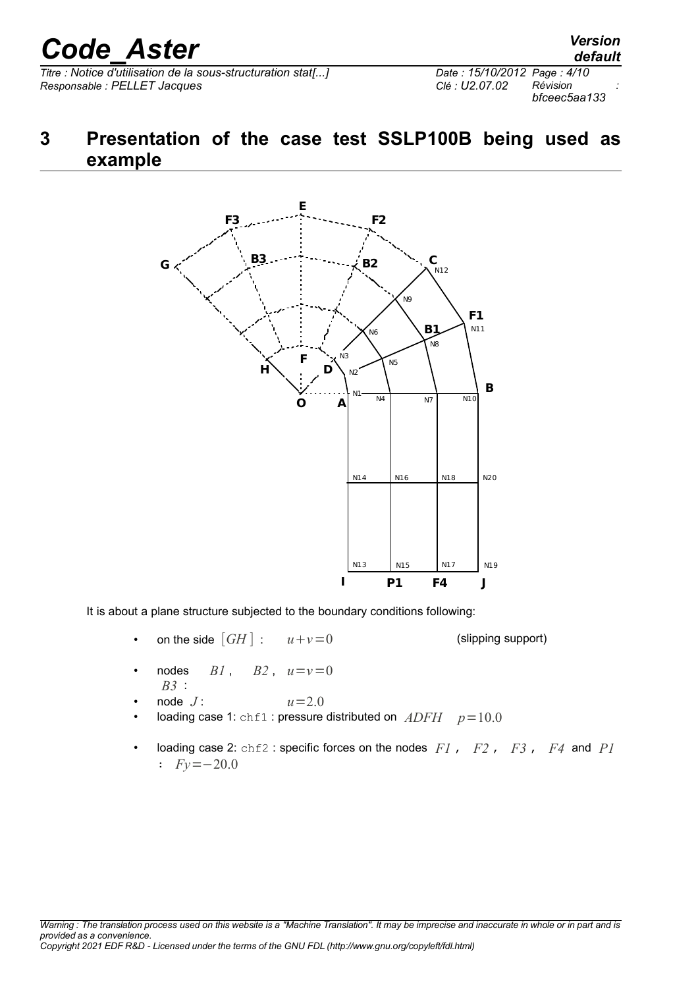# *Code\_Aster Version*

 $\overline{T}$ *Titre : Notice d'utilisation de la sous-structuration stat[...] Responsable : PELLET Jacques Clé : U2.07.02 Révision :*

*default bfceec5aa133*

## **3 Presentation of the case test SSLP100B being used as example**



It is about a plane structure subjected to the boundary conditions following:

• on the side  $\lceil GH \rceil$  :  $u+v=0$  (slipping support)

- nodes  $BI$ ,  $B2$ ,  $u=v=0$ *B3* :
- node  $J$  :  $u=2.0$
- loading case 1: chf1 : pressure distributed on *ADFH p*=10.0
- loading case 2: chf2 : specific forces on the nodes *F1* , *F2* , *F3* , *F4* and *P1* : *Fy*=−20.0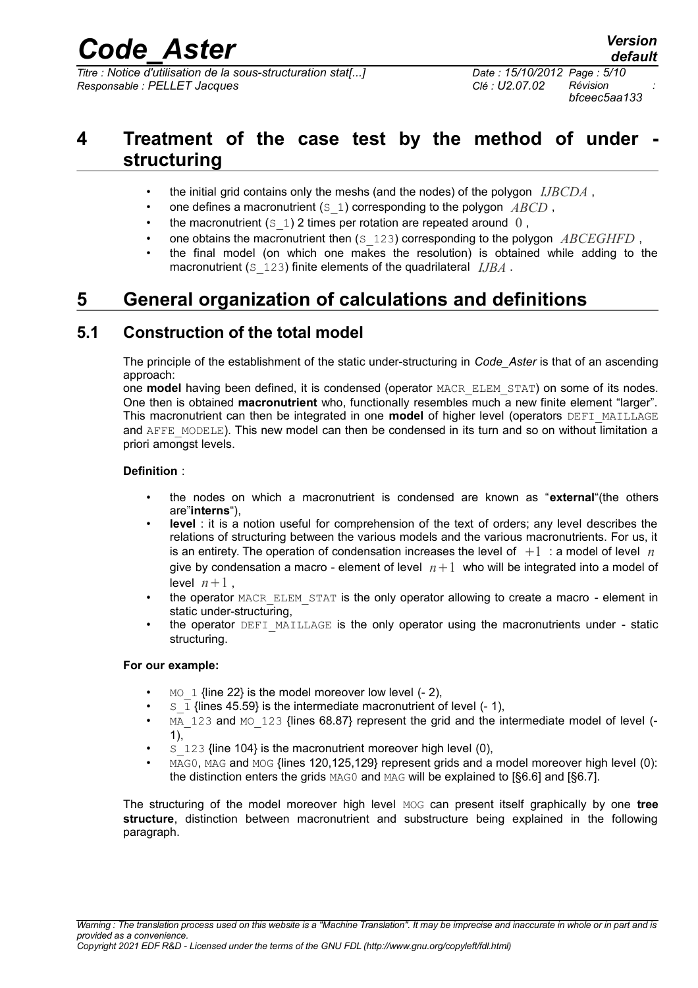# *Code\_Aster Version*

*Titre : Notice d'utilisation de la sous-structuration stat[...] Date : 15/10/2012 Page : 5/10 Responsable : PELLET Jacques Clé : U2.07.02 Révision :*

## **4 Treatment of the case test by the method of under structuring**

- the initial grid contains only the meshs (and the nodes) of the polygon *IJBCDA* ,
- one defines a macronutrient (S\_1) corresponding to the polygon *ABCD* ,
- the macronutrient  $(s_1)$  2 times per rotation are repeated around  $0$ ,
- one obtains the macronutrient then (S\_123) corresponding to the polygon *ABCEGHFD* ,
- the final model (on which one makes the resolution) is obtained while adding to the macronutrient (S 123) finite elements of the quadrilateral *IJBA*.

## **5 General organization of calculations and definitions**

### **5.1 Construction of the total model**

The principle of the establishment of the static under-structuring in *Code\_Aster* is that of an ascending approach:

one **model** having been defined, it is condensed (operator MACR\_ELEM\_STAT) on some of its nodes. One then is obtained **macronutrient** who, functionally resembles much a new finite element "larger". This macronutrient can then be integrated in one **model** of higher level (operators DEFI\_MAILLAGE and AFFE\_MODELE). This new model can then be condensed in its turn and so on without limitation a priori amongst levels.

#### **Definition** :

- the nodes on which a macronutrient is condensed are known as "**external**"(the others are"**interns**"),
- **level** : it is a notion useful for comprehension of the text of orders; any level describes the relations of structuring between the various models and the various macronutrients. For us, it is an entirety. The operation of condensation increases the level of  $+1$  : a model of level  $n$ give by condensation a macro - element of level  $n+1$  who will be integrated into a model of level  $n+1$ ,
- the operator MACR\_ELEM\_STAT is the only operator allowing to create a macro element in static under-structuring,
- the operator DEFI\_MAILLAGE is the only operator using the macronutrients under static structuring.

#### **For our example:**

- $_{\rm MO}$  1 {line 22} is the model moreover low level (- 2).
- $S_1$  {lines 45.59} is the intermediate macronutrient of level  $(-1)$ ,
- MA 123 and MO 123 {lines  $68.87$ } represent the grid and the intermediate model of level (-1),
- s 123 {line 104} is the macronutrient moreover high level (0),
- MAG0, MAG and MOG {lines 120, 125, 129} represent grids and a model moreover high level (0): the distinction enters the grids  $MAG0$  and  $MAG$  will be explained to [§6.6] and [§6.7].

The structuring of the model moreover high level MOG can present itself graphically by one **tree structure**, distinction between macronutrient and substructure being explained in the following paragraph.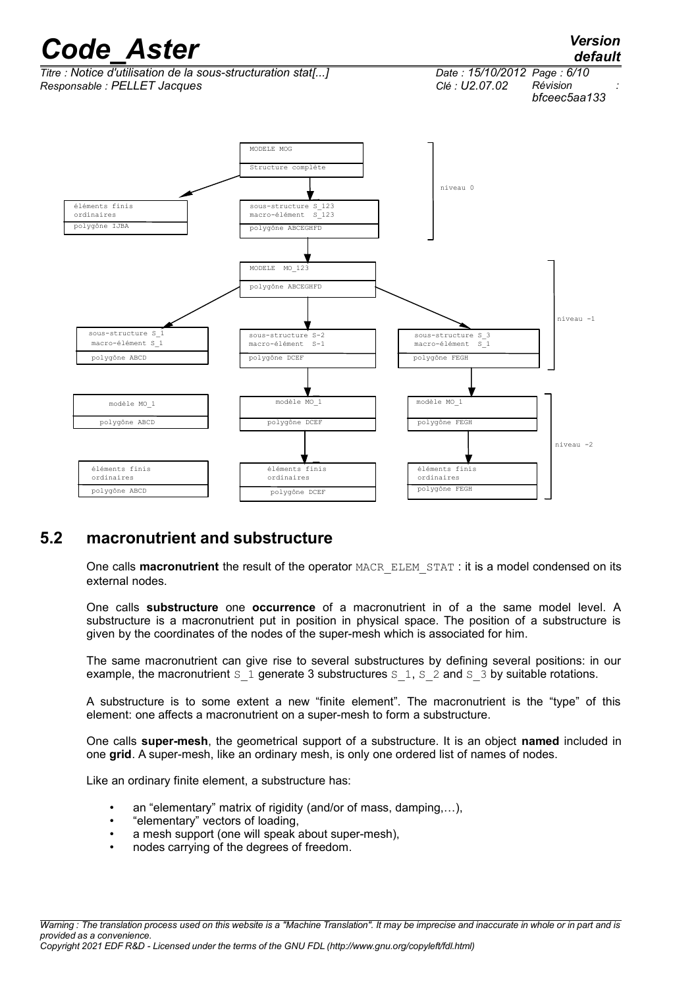

### **5.2 macronutrient and substructure**

One calls **macronutrient** the result of the operator MACR\_ELEM\_STAT : it is a model condensed on its external nodes.

One calls **substructure** one **occurrence** of a macronutrient in of a the same model level. A substructure is a macronutrient put in position in physical space. The position of a substructure is given by the coordinates of the nodes of the super-mesh which is associated for him.

The same macronutrient can give rise to several substructures by defining several positions: in our example, the macronutrient s 1 generate 3 substructures s 1, s  $\frac{2}{3}$  and s  $\frac{3}{3}$  by suitable rotations.

A substructure is to some extent a new "finite element". The macronutrient is the "type" of this element: one affects a macronutrient on a super-mesh to form a substructure.

One calls **super-mesh**, the geometrical support of a substructure. It is an object **named** included in one **grid**. A super-mesh, like an ordinary mesh, is only one ordered list of names of nodes.

Like an ordinary finite element, a substructure has:

- an "elementary" matrix of rigidity (and/or of mass, damping,…),
- "elementary" vectors of loading,
- a mesh support (one will speak about super-mesh),
- nodes carrying of the degrees of freedom.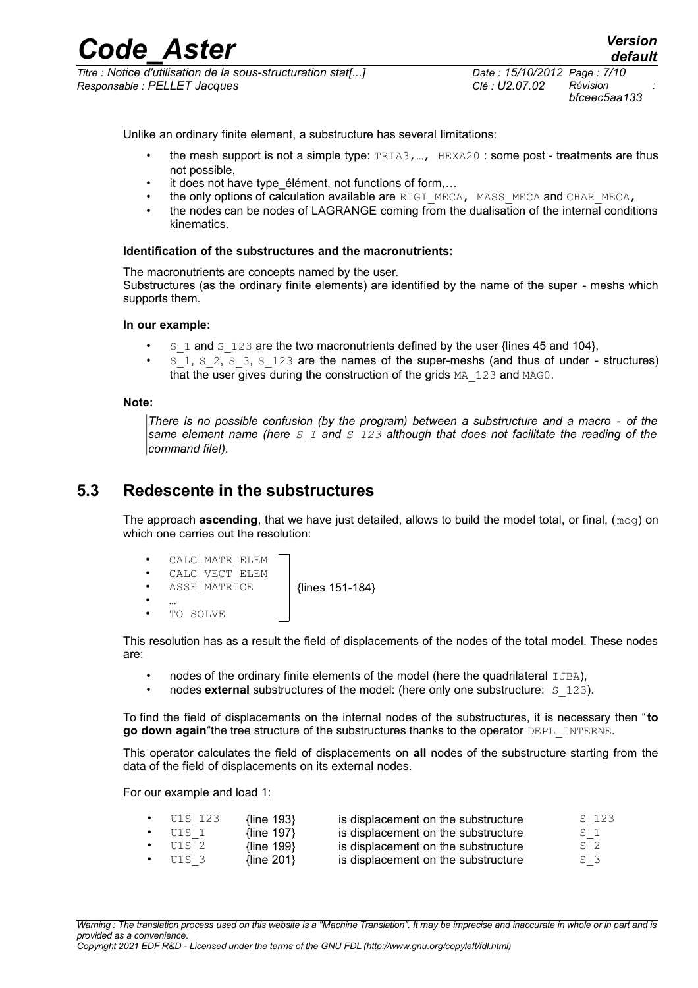*Titre : Notice d'utilisation de la sous-structuration stat[...] Date : 15/10/2012 Page : 7/10 Responsable : PELLET Jacques Clé : U2.07.02 Révision :*

*bfceec5aa133*

Unlike an ordinary finite element, a substructure has several limitations:

- the mesh support is not a simple type: TRIA3,…, HEXA20 : some post treatments are thus not possible,
- it does not have type élément, not functions of form,...
- the only options of calculation available are RIGI\_MECA, MASS\_MECA and CHAR\_MECA,
- the nodes can be nodes of LAGRANGE coming from the dualisation of the internal conditions kinematics.

#### **Identification of the substructures and the macronutrients:**

The macronutrients are concepts named by the user.

Substructures (as the ordinary finite elements) are identified by the name of the super - meshs which supports them.

#### **In our example:**

- $\overline{S}$  1 and  $\overline{S}$  123 are the two macronutrients defined by the user {lines 45 and 104},
- $5\overline{1}$ , S<sub>2</sub>, S<sub>3</sub>, S<sub>123</sub> are the names of the super-meshs (and thus of under structures) that the user gives during the construction of the grids  $MA$  123 and  $MAG0$ .

#### **Note:**

*There is no possible confusion (by the program) between a substructure and a macro - of the same element name (here S\_1 and S\_123 although that does not facilitate the reading of the command file!).*

#### **5.3 Redescente in the substructures**

The approach **ascending**, that we have just detailed, allows to build the model total, or final, (mog) on which one carries out the resolution:



This resolution has as a result the field of displacements of the nodes of the total model. These nodes are:

- nodes of the ordinary finite elements of the model (here the quadrilateral IJBA),
- nodes **external** substructures of the model: (here only one substructure: S\_123).

To find the field of displacements on the internal nodes of the substructures, it is necessary then "**to go down again** "the tree structure of the substructures thanks to the operator DEPL INTERNE.

This operator calculates the field of displacements on **all** nodes of the substructure starting from the data of the field of displacements on its external nodes.

For our example and load 1:

| U1S 123 | {line $193$ }     | is displacement on the substructure | S 123 |
|---------|-------------------|-------------------------------------|-------|
| U1S 1   | {line 197}        | is displacement on the substructure | S 1   |
| U1S 2   | $\{line$ 199 $\}$ | is displacement on the substructure | S 2   |
| U1S 3   | $\{line 201\}$    | is displacement on the substructure | S 3   |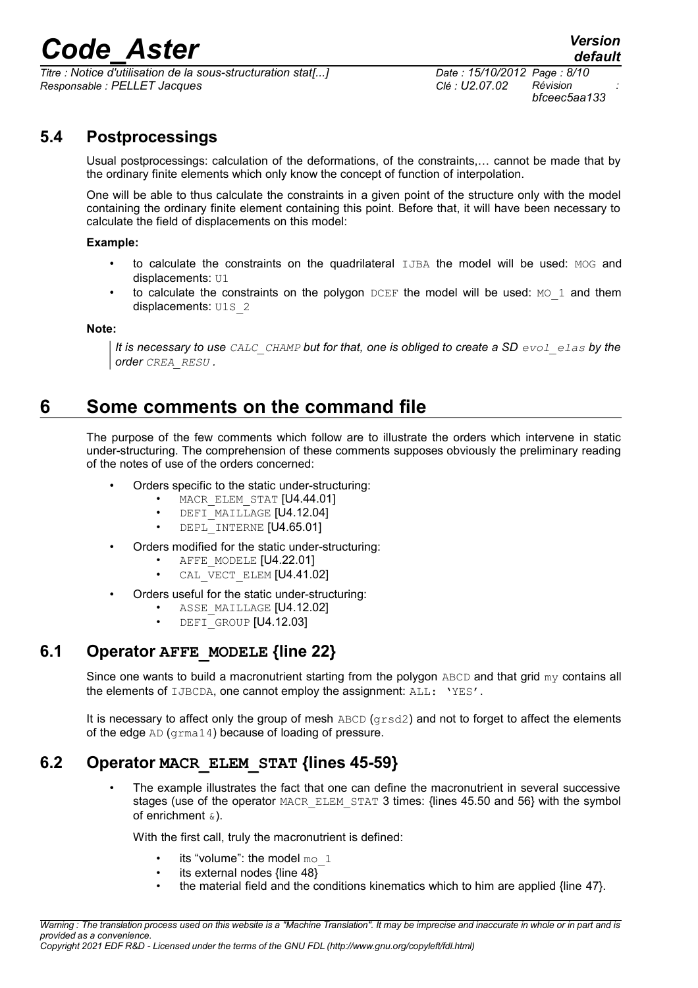# Corposition<br>*Code\_Aster Version*<br>*Code d'utilisation de la sous-structuration stat[...] Date : 15/10/2012 Page : 8/10*

*Titre : Notice d'utilisation de la sous-structuration stat[...] Date : 15/10/2012 Page : 8/10 Responsable : PELLET Jacques Clé : U2.07.02 Révision :*

*bfceec5aa133*

## **5.4 Postprocessings**

Usual postprocessings: calculation of the deformations, of the constraints,… cannot be made that by the ordinary finite elements which only know the concept of function of interpolation.

One will be able to thus calculate the constraints in a given point of the structure only with the model containing the ordinary finite element containing this point. Before that, it will have been necessary to calculate the field of displacements on this model:

#### **Example:**

- to calculate the constraints on the quadrilateral IJBA the model will be used: MOG and displacements: U1
- to calculate the constraints on the polygon  $DCEF$  the model will be used:  $MO_1$  and them displacements: U1S 2

**Note:**

*It is necessary to use CALC\_CHAMP but for that, one is obliged to create a SD evol\_elas by the order CREA\_RESU .*

## **6 Some comments on the command file**

The purpose of the few comments which follow are to illustrate the orders which intervene in static under-structuring. The comprehension of these comments supposes obviously the preliminary reading of the notes of use of the orders concerned:

- Orders specific to the static under-structuring:
	- MACR ELEM STAT [U4.44.01]
	- DEFI MAILLAGE [U4.12.04]
	- DEPL INTERNE [U4.65.01]
- Orders modified for the static under-structuring:
	- AFFE\_MODELE [U4.22.01]
	- CAL VECT ELEM [U4.41.02]
	- Orders useful for the static under-structuring:
		- ASSE MAILLAGE [U4.12.02]
		- DEFI<sup>GROUP</sup> [U4.12.03]

### **6.1 Operator AFFE\_MODELE {line 22}**

Since one wants to build a macronutrient starting from the polygon  $ABCD$  and that grid  $my$  contains all the elements of IJBCDA, one cannot employ the assignment: ALL: 'YES'.

It is necessary to affect only the group of mesh  $ABCD$  ( $qrsd2$ ) and not to forget to affect the elements of the edge AD (grma14) because of loading of pressure.

### **6.2 Operator MACR\_ELEM\_STAT {lines 45-59}**

The example illustrates the fact that one can define the macronutrient in several successive stages (use of the operator MACR ELEM STAT 3 times: {lines 45.50 and 56} with the symbol of enrichment  $\infty$ ).

With the first call, truly the macronutrient is defined:

- its "volume": the model  $mo_1$
- its external nodes {line 48}
- the material field and the conditions kinematics which to him are applied {line 47}.

*Warning : The translation process used on this website is a "Machine Translation". It may be imprecise and inaccurate in whole or in part and is provided as a convenience. Copyright 2021 EDF R&D - Licensed under the terms of the GNU FDL (http://www.gnu.org/copyleft/fdl.html)*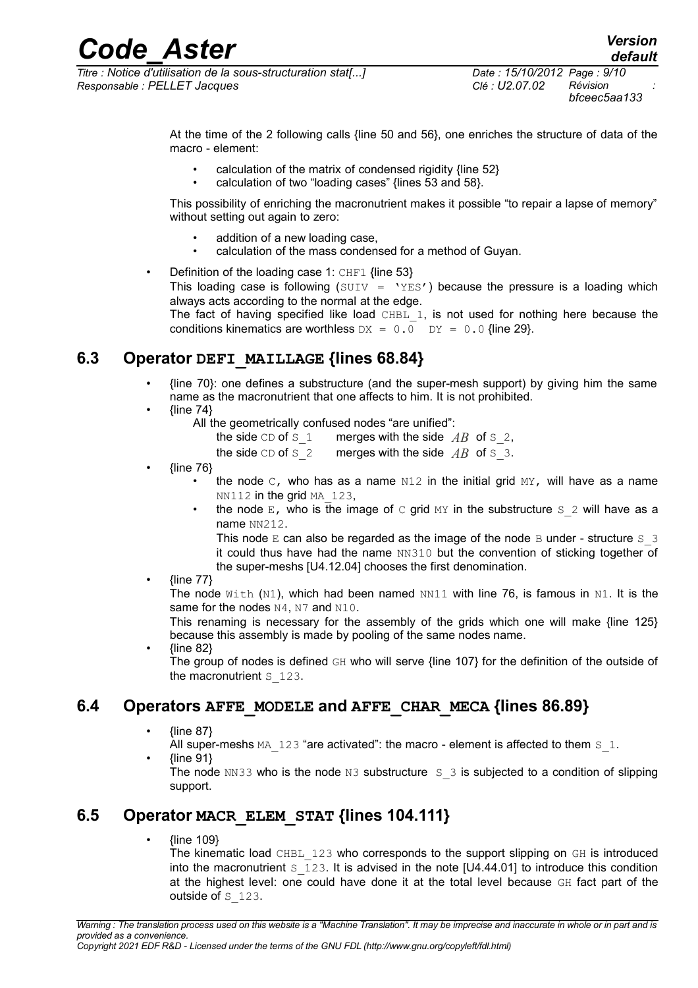*Titre : Notice d'utilisation de la sous-structuration stat[...] Responsable : PELLET Jacques Clé : U2.07.02 Révision :*

At the time of the 2 following calls {line 50 and 56}, one enriches the structure of data of the macro - element:

- calculation of the matrix of condensed rigidity {line 52}
- calculation of two "loading cases" {lines 53 and 58}.

This possibility of enriching the macronutrient makes it possible "to repair a lapse of memory" without setting out again to zero:

- addition of a new loading case,
- calculation of the mass condensed for a method of Guyan.
- Definition of the loading case 1:  $CHF1$  {line 53} This loading case is following (SUIV =  $YES'$ ) because the pressure is a loading which always acts according to the normal at the edge. The fact of having specified like load CHBL 1, is not used for nothing here because the conditions kinematics are worthless  $DX = 0.0$   $DY = 0.0$  {line 29}.

### **6.3 Operator DEFI\_MAILLAGE {lines 68.84}**

- {line 70}: one defines a substructure (and the super-mesh support) by giving him the same name as the macronutrient that one affects to him. It is not prohibited.
- ${line 74}$ 
	- All the geometrically confused nodes "are unified":
		- the side CD of S<sub>1</sub> merges with the side  $AB$  of S<sub>2</sub>,
		- the side  $CD$  of  $S_2$  merges with the side  $AB$  of  $S_3$ .
- {line 76}
	- the node  $C$ , who has as a name  $N12$  in the initial grid  $MY$ , will have as a name NN112 in the grid MA 123,
	- the node  $E$ , who is the image of c grid  $MY$  in the substructure  $S_2$  will have as a name NN212.

This node  $E$  can also be regarded as the image of the node  $B$  under - structure  $S$  3 it could thus have had the name NN310 but the convention of sticking together of the super-meshs [U4.12.04] chooses the first denomination.

• {line 77}

The node  $W$ ith (N1), which had been named NN11 with line 76, is famous in N1. It is the same for the nodes N4, N7 and N10.

This renaming is necessary for the assembly of the grids which one will make {line 125} because this assembly is made by pooling of the same nodes name.

• {line 82} The group of nodes is defined GH who will serve {line 107} for the definition of the outside of the macronutrient s 123.

### **6.4 Operators AFFE\_MODELE and AFFE\_CHAR\_MECA {lines 86.89}**

• {line 87}

All super-meshs  $MA$   $123$  "are activated": the macro - element is affected to them  $S$  1. • {line 91}

The node NN33 who is the node N3 substructure  $S_3$  is subjected to a condition of slipping support.

### **6.5 Operator MACR\_ELEM\_STAT {lines 104.111}**

• {line 109}

The kinematic load CHBL 123 who corresponds to the support slipping on GH is introduced into the macronutrient  $S$  123. It is advised in the note [U4.44.01] to introduce this condition at the highest level: one could have done it at the total level because GH fact part of the outside of S 123.